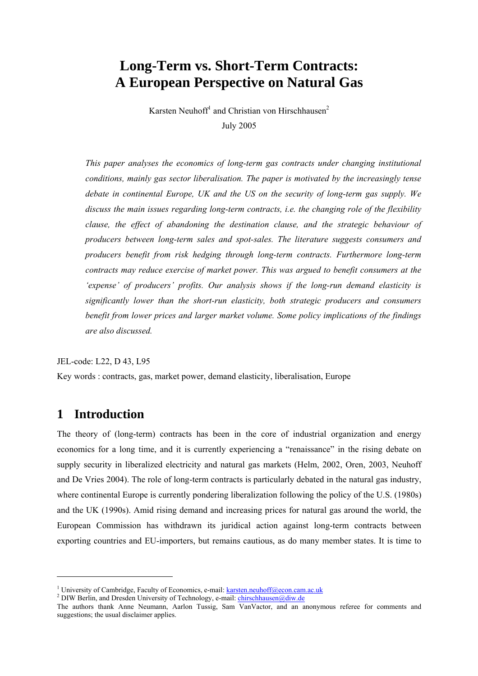# **Long-Term vs. Short-Term Contracts: A European Perspective on Natural Gas**

Karsten Neuhoff<sup>1</sup> and Christian von Hirschhausen<sup>2</sup> July 2005

*This paper analyses the economics of long-term gas contracts under changing institutional conditions, mainly gas sector liberalisation. The paper is motivated by the increasingly tense debate in continental Europe, UK and the US on the security of long-term gas supply. We discuss the main issues regarding long-term contracts, i.e. the changing role of the flexibility clause, the effect of abandoning the destination clause, and the strategic behaviour of producers between long-term sales and spot-sales. The literature suggests consumers and producers benefit from risk hedging through long-term contracts. Furthermore long-term contracts may reduce exercise of market power. This was argued to benefit consumers at the 'expense' of producers' profits. Our analysis shows if the long-run demand elasticity is significantly lower than the short-run elasticity, both strategic producers and consumers benefit from lower prices and larger market volume. Some policy implications of the findings are also discussed.* 

JEL-code: L22, D 43, L95

Key words : contracts, gas, market power, demand elasticity, liberalisation, Europe

## **1 Introduction**

l

The theory of (long-term) contracts has been in the core of industrial organization and energy economics for a long time, and it is currently experiencing a "renaissance" in the rising debate on supply security in liberalized electricity and natural gas markets (Helm, 2002, Oren, 2003, Neuhoff and De Vries 2004). The role of long-term contracts is particularly debated in the natural gas industry, where continental Europe is currently pondering liberalization following the policy of the U.S. (1980s) and the UK (1990s). Amid rising demand and increasing prices for natural gas around the world, the European Commission has withdrawn its juridical action against long-term contracts between exporting countries and EU-importers, but remains cautious, as do many member states. It is time to

<sup>&</sup>lt;sup>1</sup> University of Cambridge, Faculty of Economics, e-mail: <u>karsten.neuhoff@econ.cam.ac.uk</u><br><sup>2</sup> DIW Berlin, and Dreaden University of Technology, a mail: chirachhausen@diw.do

<sup>&</sup>lt;sup>2</sup> DIW Berlin, and Dresden University of Technology, e-mail: chirschhausen@diw.de

The authors thank Anne Neumann, Aarlon Tussig, Sam VanVactor, and an anonymous referee for comments and suggestions; the usual disclaimer applies.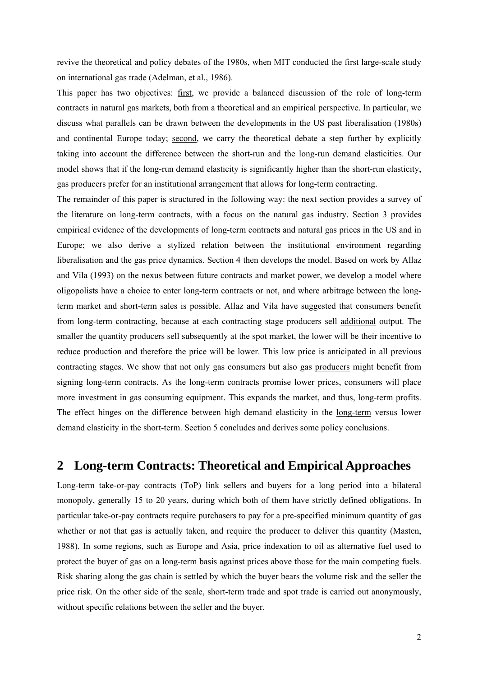revive the theoretical and policy debates of the 1980s, when MIT conducted the first large-scale study on international gas trade (Adelman, et al., 1986).

This paper has two objectives: first, we provide a balanced discussion of the role of long-term contracts in natural gas markets, both from a theoretical and an empirical perspective. In particular, we discuss what parallels can be drawn between the developments in the US past liberalisation (1980s) and continental Europe today; second, we carry the theoretical debate a step further by explicitly taking into account the difference between the short-run and the long-run demand elasticities. Our model shows that if the long-run demand elasticity is significantly higher than the short-run elasticity, gas producers prefer for an institutional arrangement that allows for long-term contracting.

The remainder of this paper is structured in the following way: the next section provides a survey of the literature on long-term contracts, with a focus on the natural gas industry. Section 3 provides empirical evidence of the developments of long-term contracts and natural gas prices in the US and in Europe; we also derive a stylized relation between the institutional environment regarding liberalisation and the gas price dynamics. Section 4 then develops the model. Based on work by Allaz and Vila (1993) on the nexus between future contracts and market power, we develop a model where oligopolists have a choice to enter long-term contracts or not, and where arbitrage between the longterm market and short-term sales is possible. Allaz and Vila have suggested that consumers benefit from long-term contracting, because at each contracting stage producers sell additional output. The smaller the quantity producers sell subsequently at the spot market, the lower will be their incentive to reduce production and therefore the price will be lower. This low price is anticipated in all previous contracting stages. We show that not only gas consumers but also gas producers might benefit from signing long-term contracts. As the long-term contracts promise lower prices, consumers will place more investment in gas consuming equipment. This expands the market, and thus, long-term profits. The effect hinges on the difference between high demand elasticity in the long-term versus lower demand elasticity in the short-term. Section 5 concludes and derives some policy conclusions.

## **2 Long-term Contracts: Theoretical and Empirical Approaches**

Long-term take-or-pay contracts (ToP) link sellers and buyers for a long period into a bilateral monopoly, generally 15 to 20 years, during which both of them have strictly defined obligations. In particular take-or-pay contracts require purchasers to pay for a pre-specified minimum quantity of gas whether or not that gas is actually taken, and require the producer to deliver this quantity (Masten, 1988). In some regions, such as Europe and Asia, price indexation to oil as alternative fuel used to protect the buyer of gas on a long-term basis against prices above those for the main competing fuels. Risk sharing along the gas chain is settled by which the buyer bears the volume risk and the seller the price risk. On the other side of the scale, short-term trade and spot trade is carried out anonymously, without specific relations between the seller and the buyer.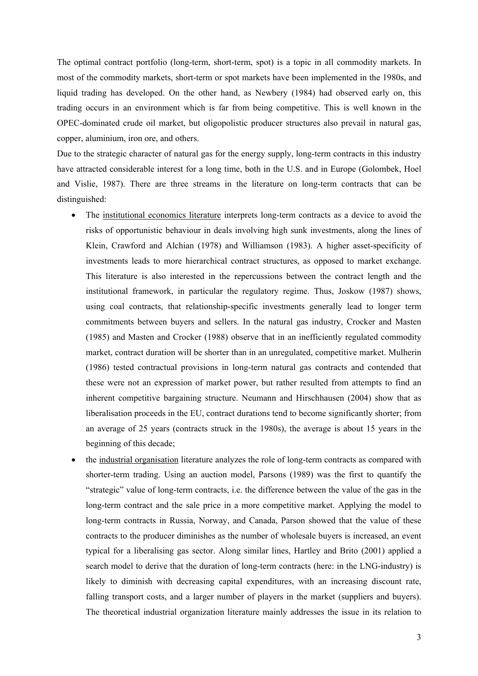The optimal contract portfolio (long-term, short-term, spot) is a topic in all commodity markets. In most of the commodity markets, short-term or spot markets have been implemented in the 1980s, and liquid trading has developed. On the other hand, as Newbery (1984) had observed early on, this trading occurs in an environment which is far from being competitive. This is well known in the OPEC-dominated crude oil market, but oligopolistic producer structures also prevail in natural gas, copper, aluminium, iron ore, and others.

Due to the strategic character of natural gas for the energy supply, long-term contracts in this industry have attracted considerable interest for a long time, both in the U.S. and in Europe (Golombek, Hoel and Vislie, 1987). There are three streams in the literature on long-term contracts that can be distinguished:

- The institutional economics literature interprets long-term contracts as a device to avoid the risks of opportunistic behaviour in deals involving high sunk investments, along the lines of Klein, Crawford and Alchian (1978) and Williamson (1983). A higher asset-specificity of investments leads to more hierarchical contract structures, as opposed to market exchange. This literature is also interested in the repercussions between the contract length and the institutional framework, in particular the regulatory regime. Thus, Joskow (1987) shows, using coal contracts, that relationship-specific investments generally lead to longer term commitments between buyers and sellers. In the natural gas industry, Crocker and Masten (1985) and Masten and Crocker (1988) observe that in an inefficiently regulated commodity market, contract duration will be shorter than in an unregulated, competitive market. Mulherin (1986) tested contractual provisions in long-term natural gas contracts and contended that these were not an expression of market power, but rather resulted from attempts to find an inherent competitive bargaining structure. Neumann and Hirschhausen (2004) show that as liberalisation proceeds in the EU, contract durations tend to become significantly shorter; from an average of 25 years (contracts struck in the 1980s), the average is about 15 years in the beginning of this decade;
- the industrial organisation literature analyzes the role of long-term contracts as compared with shorter-term trading. Using an auction model, Parsons (1989) was the first to quantify the "strategic" value of long-term contracts, i.e. the difference between the value of the gas in the long-term contract and the sale price in a more competitive market. Applying the model to long-term contracts in Russia, Norway, and Canada, Parson showed that the value of these contracts to the producer diminishes as the number of wholesale buyers is increased, an event typical for a liberalising gas sector. Along similar lines, Hartley and Brito (2001) applied a search model to derive that the duration of long-term contracts (here: in the LNG-industry) is likely to diminish with decreasing capital expenditures, with an increasing discount rate, falling transport costs, and a larger number of players in the market (suppliers and buyers). The theoretical industrial organization literature mainly addresses the issue in its relation to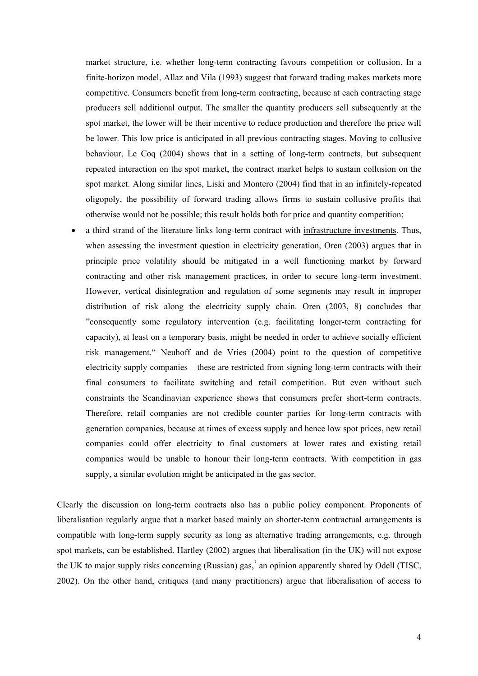market structure, i.e. whether long-term contracting favours competition or collusion. In a finite-horizon model, Allaz and Vila (1993) suggest that forward trading makes markets more competitive. Consumers benefit from long-term contracting, because at each contracting stage producers sell additional output. The smaller the quantity producers sell subsequently at the spot market, the lower will be their incentive to reduce production and therefore the price will be lower. This low price is anticipated in all previous contracting stages. Moving to collusive behaviour, Le Coq (2004) shows that in a setting of long-term contracts, but subsequent repeated interaction on the spot market, the contract market helps to sustain collusion on the spot market. Along similar lines, Liski and Montero (2004) find that in an infinitely-repeated oligopoly, the possibility of forward trading allows firms to sustain collusive profits that otherwise would not be possible; this result holds both for price and quantity competition;

• a third strand of the literature links long-term contract with infrastructure investments. Thus, when assessing the investment question in electricity generation, Oren (2003) argues that in principle price volatility should be mitigated in a well functioning market by forward contracting and other risk management practices, in order to secure long-term investment. However, vertical disintegration and regulation of some segments may result in improper distribution of risk along the electricity supply chain. Oren (2003, 8) concludes that "consequently some regulatory intervention (e.g. facilitating longer-term contracting for capacity), at least on a temporary basis, might be needed in order to achieve socially efficient risk management." Neuhoff and de Vries (2004) point to the question of competitive electricity supply companies – these are restricted from signing long-term contracts with their final consumers to facilitate switching and retail competition. But even without such constraints the Scandinavian experience shows that consumers prefer short-term contracts. Therefore, retail companies are not credible counter parties for long-term contracts with generation companies, because at times of excess supply and hence low spot prices, new retail companies could offer electricity to final customers at lower rates and existing retail companies would be unable to honour their long-term contracts. With competition in gas supply, a similar evolution might be anticipated in the gas sector.

Clearly the discussion on long-term contracts also has a public policy component. Proponents of liberalisation regularly argue that a market based mainly on shorter-term contractual arrangements is compatible with long-term supply security as long as alternative trading arrangements, e.g. through spot markets, can be established. Hartley (2002) argues that liberalisation (in the UK) will not expose the UK to major supply risks concerning (Russian) gas,<sup>3</sup> an opinion apparently shared by Odell (TISC, 2002). On the other hand, critiques (and many practitioners) argue that liberalisation of access to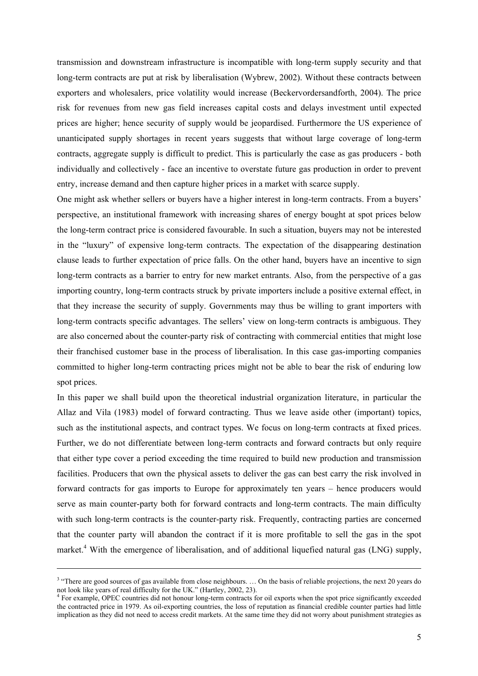transmission and downstream infrastructure is incompatible with long-term supply security and that long-term contracts are put at risk by liberalisation (Wybrew, 2002). Without these contracts between exporters and wholesalers, price volatility would increase (Beckervordersandforth, 2004). The price risk for revenues from new gas field increases capital costs and delays investment until expected prices are higher; hence security of supply would be jeopardised. Furthermore the US experience of unanticipated supply shortages in recent years suggests that without large coverage of long-term contracts, aggregate supply is difficult to predict. This is particularly the case as gas producers - both individually and collectively - face an incentive to overstate future gas production in order to prevent entry, increase demand and then capture higher prices in a market with scarce supply.

One might ask whether sellers or buyers have a higher interest in long-term contracts. From a buyers' perspective, an institutional framework with increasing shares of energy bought at spot prices below the long-term contract price is considered favourable. In such a situation, buyers may not be interested in the "luxury" of expensive long-term contracts. The expectation of the disappearing destination clause leads to further expectation of price falls. On the other hand, buyers have an incentive to sign long-term contracts as a barrier to entry for new market entrants. Also, from the perspective of a gas importing country, long-term contracts struck by private importers include a positive external effect, in that they increase the security of supply. Governments may thus be willing to grant importers with long-term contracts specific advantages. The sellers' view on long-term contracts is ambiguous. They are also concerned about the counter-party risk of contracting with commercial entities that might lose their franchised customer base in the process of liberalisation. In this case gas-importing companies committed to higher long-term contracting prices might not be able to bear the risk of enduring low spot prices.

In this paper we shall build upon the theoretical industrial organization literature, in particular the Allaz and Vila (1983) model of forward contracting. Thus we leave aside other (important) topics, such as the institutional aspects, and contract types. We focus on long-term contracts at fixed prices. Further, we do not differentiate between long-term contracts and forward contracts but only require that either type cover a period exceeding the time required to build new production and transmission facilities. Producers that own the physical assets to deliver the gas can best carry the risk involved in forward contracts for gas imports to Europe for approximately ten years – hence producers would serve as main counter-party both for forward contracts and long-term contracts. The main difficulty with such long-term contracts is the counter-party risk. Frequently, contracting parties are concerned that the counter party will abandon the contract if it is more profitable to sell the gas in the spot market.<sup>4</sup> With the emergence of liberalisation, and of additional liquefied natural gas (LNG) supply,

<sup>&</sup>lt;sup>3</sup> "There are good sources of gas available from close neighbours. ... On the basis of reliable projections, the next 20 years do not look like years of real difficulty for the UK." (Hartley, 2002, 23).

<sup>&</sup>lt;sup>4</sup> For example, OPEC countries did not honour long-term contracts for oil exports when the spot price significantly exceeded the contracted price in 1979. As oil-exporting countries, the loss of reputation as financial credible counter parties had little implication as they did not need to access credit markets. At the same time they did not worry about punishment strategies as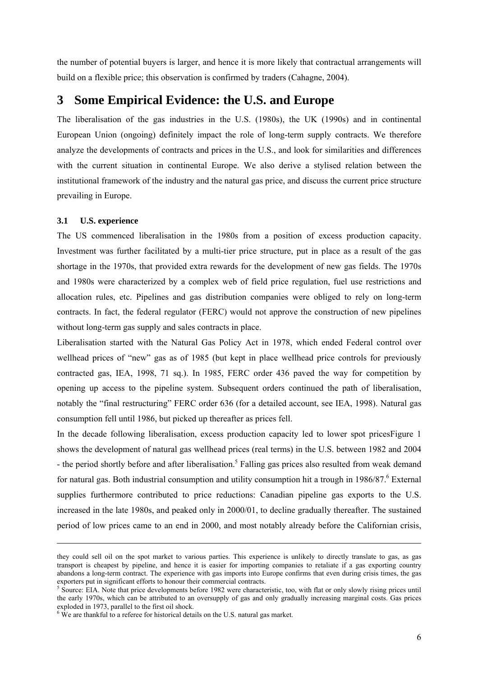the number of potential buyers is larger, and hence it is more likely that contractual arrangements will build on a flexible price; this observation is confirmed by traders (Cahagne, 2004).

### **3 Some Empirical Evidence: the U.S. and Europe**

The liberalisation of the gas industries in the U.S. (1980s), the UK (1990s) and in continental European Union (ongoing) definitely impact the role of long-term supply contracts. We therefore analyze the developments of contracts and prices in the U.S., and look for similarities and differences with the current situation in continental Europe. We also derive a stylised relation between the institutional framework of the industry and the natural gas price, and discuss the current price structure prevailing in Europe.

#### **3.1 U.S. experience**

 $\overline{a}$ 

The US commenced liberalisation in the 1980s from a position of excess production capacity. Investment was further facilitated by a multi-tier price structure, put in place as a result of the gas shortage in the 1970s, that provided extra rewards for the development of new gas fields. The 1970s and 1980s were characterized by a complex web of field price regulation, fuel use restrictions and allocation rules, etc. Pipelines and gas distribution companies were obliged to rely on long-term contracts. In fact, the federal regulator (FERC) would not approve the construction of new pipelines without long-term gas supply and sales contracts in place.

Liberalisation started with the Natural Gas Policy Act in 1978, which ended Federal control over wellhead prices of "new" gas as of 1985 (but kept in place wellhead price controls for previously contracted gas, IEA, 1998, 71 sq.). In 1985, FERC order 436 paved the way for competition by opening up access to the pipeline system. Subsequent orders continued the path of liberalisation, notably the "final restructuring" FERC order 636 (for a detailed account, see IEA, 1998). Natural gas consumption fell until 1986, but picked up thereafter as prices fell.

In the decade following liberalisation, excess production capacity led to lower spot pricesFigure 1 shows the development of natural gas wellhead prices (real terms) in the U.S. between 1982 and 2004 - the period shortly before and after liberalisation.<sup>5</sup> Falling gas prices also resulted from weak demand for natural gas. Both industrial consumption and utility consumption hit a trough in 1986/87.<sup>6</sup> External supplies furthermore contributed to price reductions: Canadian pipeline gas exports to the U.S. increased in the late 1980s, and peaked only in 2000/01, to decline gradually thereafter. The sustained period of low prices came to an end in 2000, and most notably already before the Californian crisis,

they could sell oil on the spot market to various parties. This experience is unlikely to directly translate to gas, as gas transport is cheapest by pipeline, and hence it is easier for importing companies to retaliate if a gas exporting country abandons a long-term contract. The experience with gas imports into Europe confirms that even during crisis times, the gas exporters put in significant efforts to honour their commercial contracts.

<sup>&</sup>lt;sup>5</sup> Source: EIA. Note that price developments before 1982 were characteristic, too, with flat or only slowly rising prices until the early 1970s, which can be attributed to an oversupply of gas and only gradually increasing marginal costs. Gas prices exploded in 1973, parallel to the first oil shock.

 $6 \text{ We are than } k \text{ full to a reference for historical details on the U.S. natural gas market.}$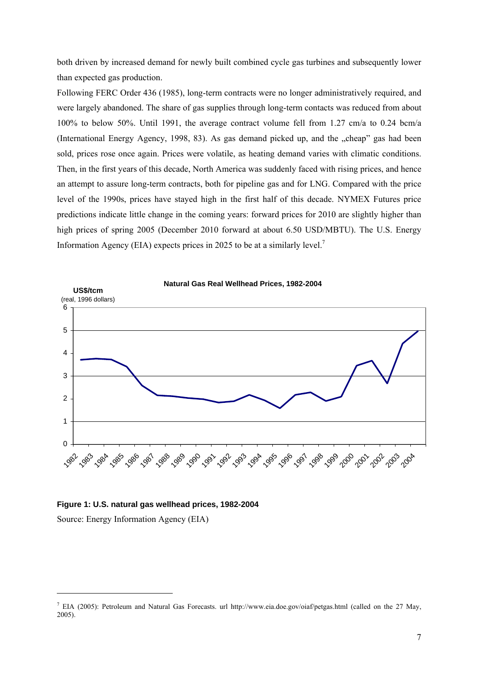both driven by increased demand for newly built combined cycle gas turbines and subsequently lower than expected gas production.

Following FERC Order 436 (1985), long-term contracts were no longer administratively required, and were largely abandoned. The share of gas supplies through long-term contacts was reduced from about 100% to below 50%. Until 1991, the average contract volume fell from 1.27 cm/a to 0.24 bcm/a (International Energy Agency, 1998, 83). As gas demand picked up, and the "cheap" gas had been sold, prices rose once again. Prices were volatile, as heating demand varies with climatic conditions. Then, in the first years of this decade, North America was suddenly faced with rising prices, and hence an attempt to assure long-term contracts, both for pipeline gas and for LNG. Compared with the price level of the 1990s, prices have stayed high in the first half of this decade. NYMEX Futures price predictions indicate little change in the coming years: forward prices for 2010 are slightly higher than high prices of spring 2005 (December 2010 forward at about 6.50 USD/MBTU). The U.S. Energy Information Agency (EIA) expects prices in 2025 to be at a similarly level.<sup>7</sup>



#### **Figure 1: U.S. natural gas wellhead prices, 1982-2004**

Source: Energy Information Agency (EIA)

<sup>&</sup>lt;sup>7</sup> EIA (2005): Petroleum and Natural Gas Forecasts. url http://www.eia.doe.gov/oiaf/petgas.html (called on the 27 May, 2005).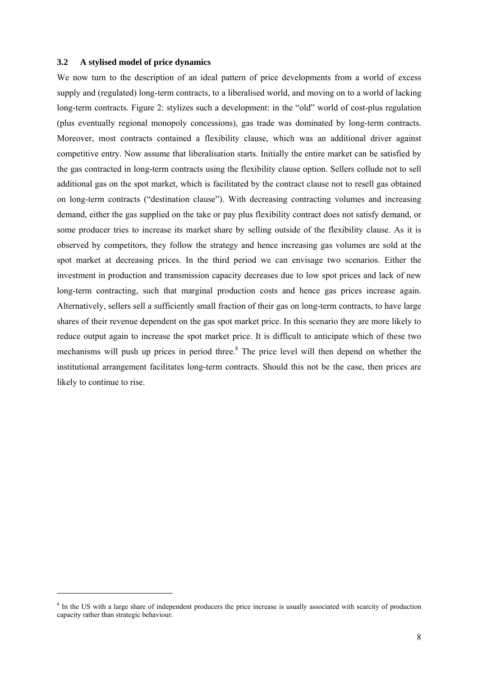#### **3.2 A stylised model of price dynamics**

l

We now turn to the description of an ideal pattern of price developments from a world of excess supply and (regulated) long-term contracts, to a liberalised world, and moving on to a world of lacking long-term contracts. Figure 2: stylizes such a development: in the "old" world of cost-plus regulation (plus eventually regional monopoly concessions), gas trade was dominated by long-term contracts. Moreover, most contracts contained a flexibility clause, which was an additional driver against competitive entry. Now assume that liberalisation starts. Initially the entire market can be satisfied by the gas contracted in long-term contracts using the flexibility clause option. Sellers collude not to sell additional gas on the spot market, which is facilitated by the contract clause not to resell gas obtained on long-term contracts ("destination clause"). With decreasing contracting volumes and increasing demand, either the gas supplied on the take or pay plus flexibility contract does not satisfy demand, or some producer tries to increase its market share by selling outside of the flexibility clause. As it is observed by competitors, they follow the strategy and hence increasing gas volumes are sold at the spot market at decreasing prices. In the third period we can envisage two scenarios. Either the investment in production and transmission capacity decreases due to low spot prices and lack of new long-term contracting, such that marginal production costs and hence gas prices increase again. Alternatively, sellers sell a sufficiently small fraction of their gas on long-term contracts, to have large shares of their revenue dependent on the gas spot market price. In this scenario they are more likely to reduce output again to increase the spot market price. It is difficult to anticipate which of these two mechanisms will push up prices in period three.<sup>8</sup> The price level will then depend on whether the institutional arrangement facilitates long-term contracts. Should this not be the case, then prices are likely to continue to rise.

<sup>&</sup>lt;sup>8</sup> In the US with a large share of independent producers the price increase is usually associated with scarcity of production capacity rather than strategic behaviour.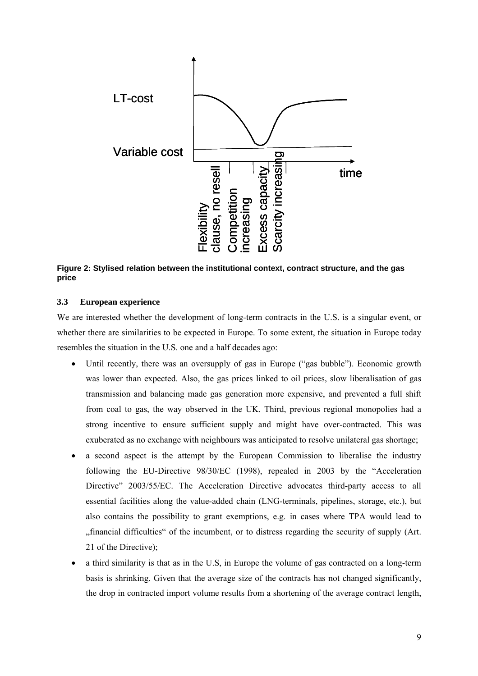

**Figure 2: Stylised relation between the institutional context, contract structure, and the gas price** 

#### **3.3 European experience**

We are interested whether the development of long-term contracts in the U.S. is a singular event, or whether there are similarities to be expected in Europe. To some extent, the situation in Europe today resembles the situation in the U.S. one and a half decades ago:

- Until recently, there was an oversupply of gas in Europe ("gas bubble"). Economic growth was lower than expected. Also, the gas prices linked to oil prices, slow liberalisation of gas transmission and balancing made gas generation more expensive, and prevented a full shift from coal to gas, the way observed in the UK. Third, previous regional monopolies had a strong incentive to ensure sufficient supply and might have over-contracted. This was exuberated as no exchange with neighbours was anticipated to resolve unilateral gas shortage;
- a second aspect is the attempt by the European Commission to liberalise the industry following the EU-Directive 98/30/EC (1998), repealed in 2003 by the "Acceleration Directive" 2003/55/EC. The Acceleration Directive advocates third-party access to all essential facilities along the value-added chain (LNG-terminals, pipelines, storage, etc.), but also contains the possibility to grant exemptions, e.g. in cases where TPA would lead to "financial difficulties" of the incumbent, or to distress regarding the security of supply (Art. 21 of the Directive);
- a third similarity is that as in the U.S, in Europe the volume of gas contracted on a long-term basis is shrinking. Given that the average size of the contracts has not changed significantly, the drop in contracted import volume results from a shortening of the average contract length,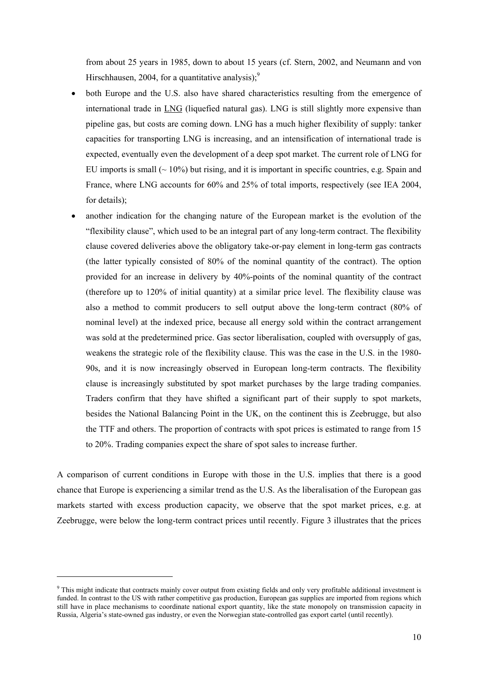from about 25 years in 1985, down to about 15 years (cf. Stern, 2002, and Neumann and von Hirschhausen, 2004, for a quantitative analysis); $<sup>9</sup>$ </sup>

- both Europe and the U.S. also have shared characteristics resulting from the emergence of international trade in LNG (liquefied natural gas). LNG is still slightly more expensive than pipeline gas, but costs are coming down. LNG has a much higher flexibility of supply: tanker capacities for transporting LNG is increasing, and an intensification of international trade is expected, eventually even the development of a deep spot market. The current role of LNG for EU imports is small  $($   $\sim$  10%) but rising, and it is important in specific countries, e.g. Spain and France, where LNG accounts for 60% and 25% of total imports, respectively (see IEA 2004, for details);
- another indication for the changing nature of the European market is the evolution of the "flexibility clause", which used to be an integral part of any long-term contract. The flexibility clause covered deliveries above the obligatory take-or-pay element in long-term gas contracts (the latter typically consisted of 80% of the nominal quantity of the contract). The option provided for an increase in delivery by 40%-points of the nominal quantity of the contract (therefore up to 120% of initial quantity) at a similar price level. The flexibility clause was also a method to commit producers to sell output above the long-term contract (80% of nominal level) at the indexed price, because all energy sold within the contract arrangement was sold at the predetermined price. Gas sector liberalisation, coupled with oversupply of gas, weakens the strategic role of the flexibility clause. This was the case in the U.S. in the 1980- 90s, and it is now increasingly observed in European long-term contracts. The flexibility clause is increasingly substituted by spot market purchases by the large trading companies. Traders confirm that they have shifted a significant part of their supply to spot markets, besides the National Balancing Point in the UK, on the continent this is Zeebrugge, but also the TTF and others. The proportion of contracts with spot prices is estimated to range from 15 to 20%. Trading companies expect the share of spot sales to increase further.

A comparison of current conditions in Europe with those in the U.S. implies that there is a good chance that Europe is experiencing a similar trend as the U.S. As the liberalisation of the European gas markets started with excess production capacity, we observe that the spot market prices, e.g. at Zeebrugge, were below the long-term contract prices until recently. Figure 3 illustrates that the prices

<sup>&</sup>lt;sup>9</sup> This might indicate that contracts mainly cover output from existing fields and only very profitable additional investment is funded. In contrast to the US with rather competitive gas production, European gas supplies are imported from regions which still have in place mechanisms to coordinate national export quantity, like the state monopoly on transmission capacity in Russia, Algeria's state-owned gas industry, or even the Norwegian state-controlled gas export cartel (until recently).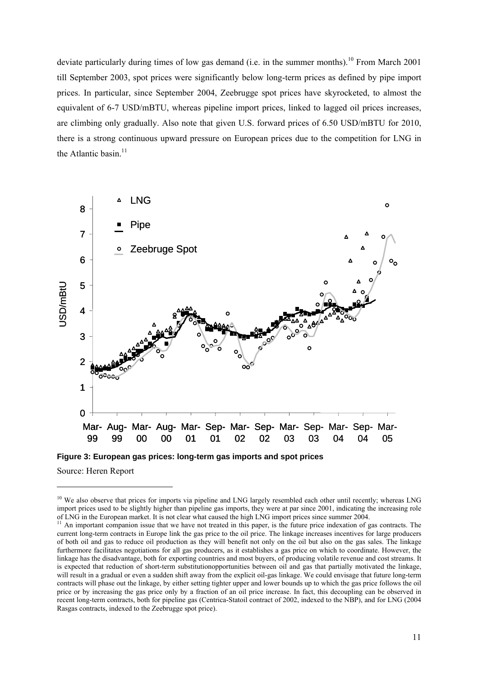deviate particularly during times of low gas demand (i.e. in the summer months).<sup>10</sup> From March 2001 till September 2003, spot prices were significantly below long-term prices as defined by pipe import prices. In particular, since September 2004, Zeebrugge spot prices have skyrocketed, to almost the equivalent of 6-7 USD/mBTU, whereas pipeline import prices, linked to lagged oil prices increases, are climbing only gradually. Also note that given U.S. forward prices of 6.50 USD/mBTU for 2010, there is a strong continuous upward pressure on European prices due to the competition for LNG in the Atlantic basin.<sup>11</sup>



**Figure 3: European gas prices: long-term gas imports and spot prices** 

Source: Heren Report

 $10$  We also observe that prices for imports via pipeline and LNG largely resembled each other until recently; whereas LNG import prices used to be slightly higher than pipeline gas imports, they were at par since 2001, indicating the increasing role of LNG in the European market. It is not clear what caused the high LNG import prices since su

An important companion issue that we have not treated in this paper, is the future price indexation of gas contracts. The current long-term contracts in Europe link the gas price to the oil price. The linkage increases incentives for large producers of both oil and gas to reduce oil production as they will benefit not only on the oil but also on the gas sales. The linkage furthermore facilitates negotiations for all gas producers, as it establishes a gas price on which to coordinate. However, the linkage has the disadvantage, both for exporting countries and most buyers, of producing volatile revenue and cost streams. It is expected that reduction of short-term substitutionopportunities between oil and gas that partially motivated the linkage, will result in a gradual or even a sudden shift away from the explicit oil-gas linkage. We could envisage that future long-term contracts will phase out the linkage, by either setting tighter upper and lower bounds up to which the gas price follows the oil price or by increasing the gas price only by a fraction of an oil price increase. In fact, this decoupling can be observed in recent long-term contracts, both for pipeline gas (Centrica-Statoil contract of 2002, indexed to the NBP), and for LNG (2004 Rasgas contracts, indexed to the Zeebrugge spot price).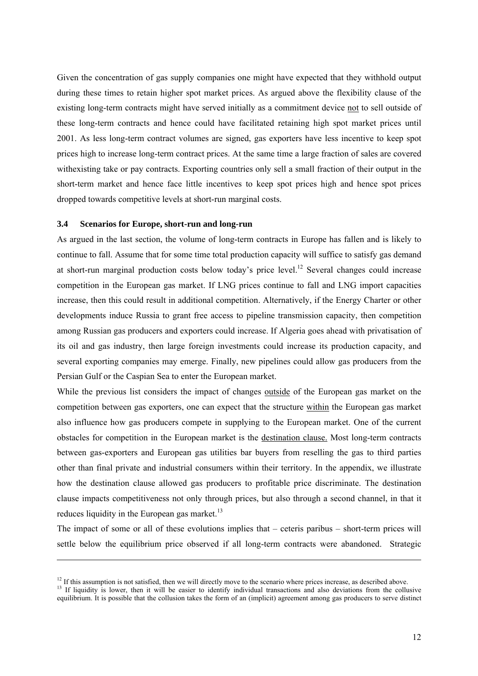Given the concentration of gas supply companies one might have expected that they withhold output during these times to retain higher spot market prices. As argued above the flexibility clause of the existing long-term contracts might have served initially as a commitment device not to sell outside of these long-term contracts and hence could have facilitated retaining high spot market prices until 2001. As less long-term contract volumes are signed, gas exporters have less incentive to keep spot prices high to increase long-term contract prices. At the same time a large fraction of sales are covered withexisting take or pay contracts. Exporting countries only sell a small fraction of their output in the short-term market and hence face little incentives to keep spot prices high and hence spot prices dropped towards competitive levels at short-run marginal costs.

#### **3.4 Scenarios for Europe, short-run and long-run**

l

As argued in the last section, the volume of long-term contracts in Europe has fallen and is likely to continue to fall. Assume that for some time total production capacity will suffice to satisfy gas demand at short-run marginal production costs below today's price level.<sup>12</sup> Several changes could increase competition in the European gas market. If LNG prices continue to fall and LNG import capacities increase, then this could result in additional competition. Alternatively, if the Energy Charter or other developments induce Russia to grant free access to pipeline transmission capacity, then competition among Russian gas producers and exporters could increase. If Algeria goes ahead with privatisation of its oil and gas industry, then large foreign investments could increase its production capacity, and several exporting companies may emerge. Finally, new pipelines could allow gas producers from the Persian Gulf or the Caspian Sea to enter the European market.

While the previous list considers the impact of changes outside of the European gas market on the competition between gas exporters, one can expect that the structure within the European gas market also influence how gas producers compete in supplying to the European market. One of the current obstacles for competition in the European market is the destination clause. Most long-term contracts between gas-exporters and European gas utilities bar buyers from reselling the gas to third parties other than final private and industrial consumers within their territory. In the appendix, we illustrate how the destination clause allowed gas producers to profitable price discriminate. The destination clause impacts competitiveness not only through prices, but also through a second channel, in that it reduces liquidity in the European gas market. $^{13}$ 

The impact of some or all of these evolutions implies that – ceteris paribus – short-term prices will settle below the equilibrium price observed if all long-term contracts were abandoned. Strategic

 $12$  If this assumption is not satisfied, then we will directly move to the scenario where prices increase, as described above.

<sup>&</sup>lt;sup>13</sup> If liquidity is lower, then it will be easier to identify individual transactions and also deviations from the collusive equilibrium. It is possible that the collusion takes the form of an (implicit) agreement among gas producers to serve distinct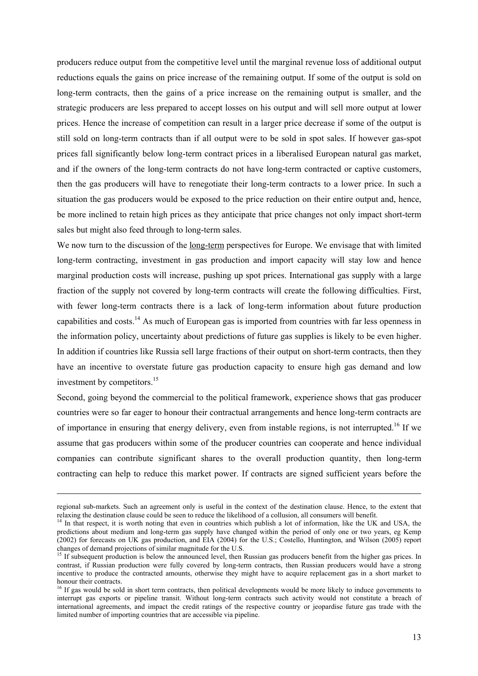producers reduce output from the competitive level until the marginal revenue loss of additional output reductions equals the gains on price increase of the remaining output. If some of the output is sold on long-term contracts, then the gains of a price increase on the remaining output is smaller, and the strategic producers are less prepared to accept losses on his output and will sell more output at lower prices. Hence the increase of competition can result in a larger price decrease if some of the output is still sold on long-term contracts than if all output were to be sold in spot sales. If however gas-spot prices fall significantly below long-term contract prices in a liberalised European natural gas market, and if the owners of the long-term contracts do not have long-term contracted or captive customers, then the gas producers will have to renegotiate their long-term contracts to a lower price. In such a situation the gas producers would be exposed to the price reduction on their entire output and, hence, be more inclined to retain high prices as they anticipate that price changes not only impact short-term sales but might also feed through to long-term sales.

We now turn to the discussion of the long-term perspectives for Europe. We envisage that with limited long-term contracting, investment in gas production and import capacity will stay low and hence marginal production costs will increase, pushing up spot prices. International gas supply with a large fraction of the supply not covered by long-term contracts will create the following difficulties. First, with fewer long-term contracts there is a lack of long-term information about future production capabilities and costs.14 As much of European gas is imported from countries with far less openness in the information policy, uncertainty about predictions of future gas supplies is likely to be even higher. In addition if countries like Russia sell large fractions of their output on short-term contracts, then they have an incentive to overstate future gas production capacity to ensure high gas demand and low investment by competitors.<sup>15</sup>

Second, going beyond the commercial to the political framework, experience shows that gas producer countries were so far eager to honour their contractual arrangements and hence long-term contracts are of importance in ensuring that energy delivery, even from instable regions, is not interrupted.<sup>16</sup> If we assume that gas producers within some of the producer countries can cooperate and hence individual companies can contribute significant shares to the overall production quantity, then long-term contracting can help to reduce this market power. If contracts are signed sufficient years before the

regional sub-markets. Such an agreement only is useful in the context of the destination clause. Hence, to the extent that relaxing the destination clause could be seen to reduce the likelihood of a collusion, all consumers will benefit.

 $14$  In that respect, it is worth noting that even in countries which publish a lot of information, like the UK and USA, the predictions about medium and long-term gas supply have changed within the period of only one or two years, eg Kemp (2002) for forecasts on UK gas production, and EIA (2004) for the U.S.; Costello, Huntington, and Wilson (2005) report changes of demand projections of similar magnitude for the U.S.

<sup>&</sup>lt;sup>15</sup> If subsequent production is below the announced level, then Russian gas producers benefit from the higher gas prices. In contrast, if Russian production were fully covered by long-term contracts, then Russian producers would have a strong incentive to produce the contracted amounts, otherwise they might have to acquire replacement gas in a short market to honour their contracts.

<sup>&</sup>lt;sup>16</sup> If gas would be sold in short term contracts, then political developments would be more likely to induce governments to interrupt gas exports or pipeline transit. Without long-term contracts such activity would not constitute a breach of international agreements, and impact the credit ratings of the respective country or jeopardise future gas trade with the limited number of importing countries that are accessible via pipeline.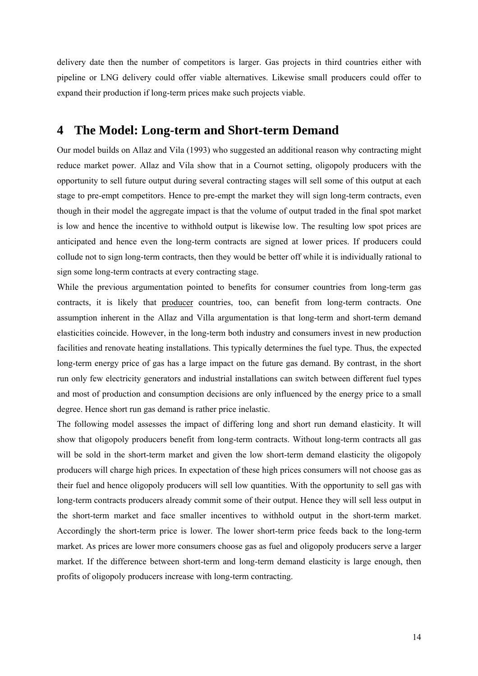delivery date then the number of competitors is larger. Gas projects in third countries either with pipeline or LNG delivery could offer viable alternatives. Likewise small producers could offer to expand their production if long-term prices make such projects viable.

### **4 The Model: Long-term and Short-term Demand**

Our model builds on Allaz and Vila (1993) who suggested an additional reason why contracting might reduce market power. Allaz and Vila show that in a Cournot setting, oligopoly producers with the opportunity to sell future output during several contracting stages will sell some of this output at each stage to pre-empt competitors. Hence to pre-empt the market they will sign long-term contracts, even though in their model the aggregate impact is that the volume of output traded in the final spot market is low and hence the incentive to withhold output is likewise low. The resulting low spot prices are anticipated and hence even the long-term contracts are signed at lower prices. If producers could collude not to sign long-term contracts, then they would be better off while it is individually rational to sign some long-term contracts at every contracting stage.

While the previous argumentation pointed to benefits for consumer countries from long-term gas contracts, it is likely that producer countries, too, can benefit from long-term contracts. One assumption inherent in the Allaz and Villa argumentation is that long-term and short-term demand elasticities coincide. However, in the long-term both industry and consumers invest in new production facilities and renovate heating installations. This typically determines the fuel type. Thus, the expected long-term energy price of gas has a large impact on the future gas demand. By contrast, in the short run only few electricity generators and industrial installations can switch between different fuel types and most of production and consumption decisions are only influenced by the energy price to a small degree. Hence short run gas demand is rather price inelastic.

The following model assesses the impact of differing long and short run demand elasticity. It will show that oligopoly producers benefit from long-term contracts. Without long-term contracts all gas will be sold in the short-term market and given the low short-term demand elasticity the oligopoly producers will charge high prices. In expectation of these high prices consumers will not choose gas as their fuel and hence oligopoly producers will sell low quantities. With the opportunity to sell gas with long-term contracts producers already commit some of their output. Hence they will sell less output in the short-term market and face smaller incentives to withhold output in the short-term market. Accordingly the short-term price is lower. The lower short-term price feeds back to the long-term market. As prices are lower more consumers choose gas as fuel and oligopoly producers serve a larger market. If the difference between short-term and long-term demand elasticity is large enough, then profits of oligopoly producers increase with long-term contracting.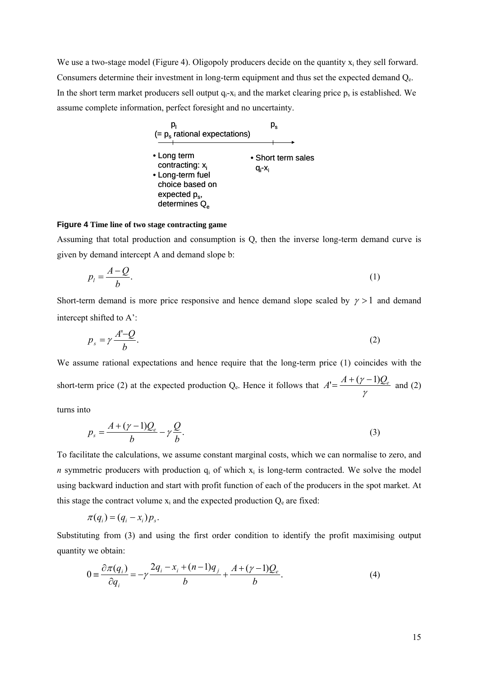We use a two-stage model (Figure 4). Oligopoly producers decide on the quantity  $x_i$  they sell forward. Consumers determine their investment in long-term equipment and thus set the expected demand  $Q_e$ . In the short term market producers sell output  $q_i-x_i$  and the market clearing price  $p_s$  is established. We assume complete information, perfect foresight and no uncertainty.



#### **Figure 4 Time line of two stage contracting game**

Assuming that total production and consumption is Q, then the inverse long-term demand curve is given by demand intercept A and demand slope b:

$$
p_l = \frac{A - Q}{b}.\tag{1}
$$

Short-term demand is more price responsive and hence demand slope scaled by  $\gamma > 1$  and demand intercept shifted to A':

$$
p_s = \gamma \frac{A'-Q}{b}.\tag{2}
$$

We assume rational expectations and hence require that the long-term price (1) coincides with the short-term price  $(2)$  at the expected production  $Q_e$ . Hence it follows that γ  $A' = \frac{A + (\gamma - 1)Q_e}{A}$  and (2)

turns into

$$
p_s = \frac{A + (\gamma - 1)Q_e}{b} - \gamma \frac{Q}{b}.\tag{3}
$$

To facilitate the calculations, we assume constant marginal costs, which we can normalise to zero, and *n* symmetric producers with production  $q_i$  of which  $x_i$  is long-term contracted. We solve the model using backward induction and start with profit function of each of the producers in the spot market. At this stage the contract volume  $x_i$  and the expected production  $Q_e$  are fixed:

$$
\pi(q_i) = (q_i - x_i)p_s.
$$

Substituting from (3) and using the first order condition to identify the profit maximising output quantity we obtain:

$$
0 = \frac{\partial \pi(q_i)}{\partial q_i} = -\gamma \frac{2q_i - x_i + (n-1)q_j}{b} + \frac{A + (\gamma - 1)Q_e}{b}.
$$
 (4)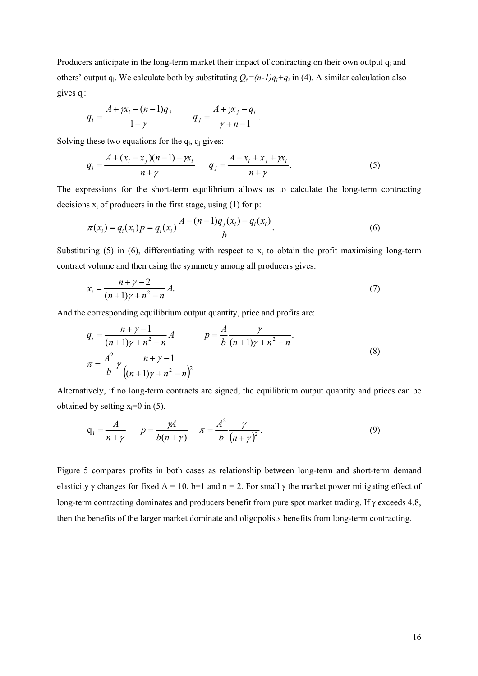Producers anticipate in the long-term market their impact of contracting on their own output q<sub>i</sub> and others' output  $q_i$ . We calculate both by substituting  $Q_e=(n-1)q_i+q_i$  in (4). A similar calculation also gives  $q_i$ :

$$
q_{i} = \frac{A + \gamma x_{i} - (n-1)q_{j}}{1 + \gamma} \qquad q_{j} = \frac{A + \gamma x_{j} - q_{i}}{\gamma + n - 1}.
$$

Solving these two equations for the  $q_i$ ,  $q_i$  gives:

$$
q_{i} = \frac{A + (x_{i} - x_{j})(n-1) + \gamma x_{i}}{n + \gamma} \qquad q_{j} = \frac{A - x_{i} + x_{j} + \gamma x_{i}}{n + \gamma}.
$$
 (5)

The expressions for the short-term equilibrium allows us to calculate the long-term contracting decisions  $x_i$  of producers in the first stage, using (1) for p:

$$
\pi(x_i) = q_i(x_i) p = q_i(x_i) \frac{A - (n-1)q_j(x_i) - q_i(x_i)}{b}.
$$
\n(6)

Substituting (5) in (6), differentiating with respect to  $x_i$  to obtain the profit maximising long-term contract volume and then using the symmetry among all producers gives:

$$
x_i = \frac{n + \gamma - 2}{(n + 1)\gamma + n^2 - n} A.
$$
 (7)

And the corresponding equilibrium output quantity, price and profits are:

$$
q_{i} = \frac{n + \gamma - 1}{(n + 1)\gamma + n^{2} - n} A \qquad p = \frac{A}{b} \frac{\gamma}{(n + 1)\gamma + n^{2} - n}.
$$
  

$$
\pi = \frac{A^{2}}{b} \gamma \frac{n + \gamma - 1}{((n + 1)\gamma + n^{2} - n)^{2}}
$$
 (8)

Alternatively, if no long-term contracts are signed, the equilibrium output quantity and prices can be obtained by setting  $x_i=0$  in (5).

$$
q_i = \frac{A}{n+\gamma} \qquad p = \frac{\gamma A}{b(n+\gamma)} \qquad \pi = \frac{A^2}{b} \frac{\gamma}{(n+\gamma)^2}.
$$
 (9)

Figure 5 compares profits in both cases as relationship between long-term and short-term demand elasticity  $\gamma$  changes for fixed A = 10, b=1 and n = 2. For small  $\gamma$  the market power mitigating effect of long-term contracting dominates and producers benefit from pure spot market trading. If γ exceeds 4.8, then the benefits of the larger market dominate and oligopolists benefits from long-term contracting.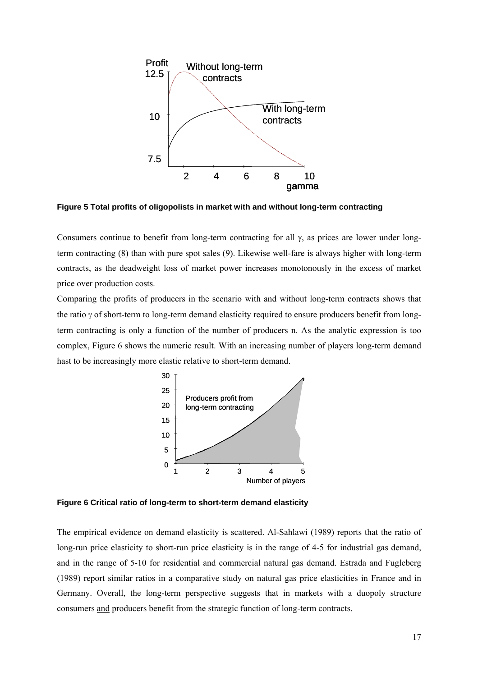

**Figure 5 Total profits of oligopolists in market with and without long-term contracting** 

Consumers continue to benefit from long-term contracting for all  $\gamma$ , as prices are lower under longterm contracting (8) than with pure spot sales (9). Likewise well-fare is always higher with long-term contracts, as the deadweight loss of market power increases monotonously in the excess of market price over production costs.

Comparing the profits of producers in the scenario with and without long-term contracts shows that the ratio γ of short-term to long-term demand elasticity required to ensure producers benefit from longterm contracting is only a function of the number of producers n. As the analytic expression is too complex, Figure 6 shows the numeric result. With an increasing number of players long-term demand hast to be increasingly more elastic relative to short-term demand.



**Figure 6 Critical ratio of long-term to short-term demand elasticity** 

The empirical evidence on demand elasticity is scattered. Al-Sahlawi (1989) reports that the ratio of long-run price elasticity to short-run price elasticity is in the range of 4-5 for industrial gas demand, and in the range of 5-10 for residential and commercial natural gas demand. Estrada and Fugleberg (1989) report similar ratios in a comparative study on natural gas price elasticities in France and in Germany. Overall, the long-term perspective suggests that in markets with a duopoly structure consumers and producers benefit from the strategic function of long-term contracts.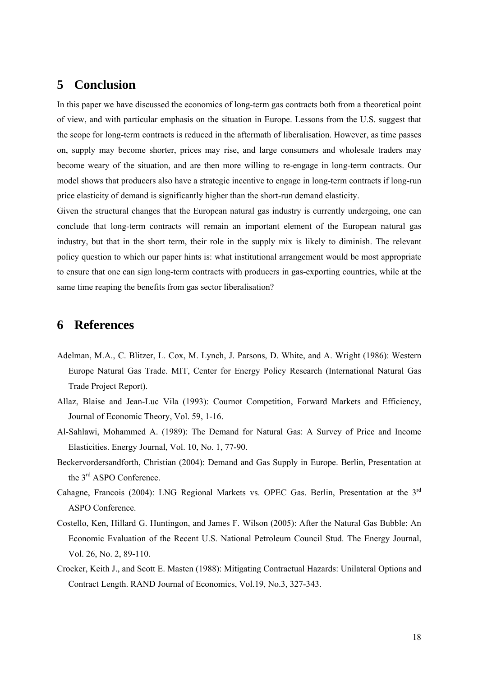## **5 Conclusion**

In this paper we have discussed the economics of long-term gas contracts both from a theoretical point of view, and with particular emphasis on the situation in Europe. Lessons from the U.S. suggest that the scope for long-term contracts is reduced in the aftermath of liberalisation. However, as time passes on, supply may become shorter, prices may rise, and large consumers and wholesale traders may become weary of the situation, and are then more willing to re-engage in long-term contracts. Our model shows that producers also have a strategic incentive to engage in long-term contracts if long-run price elasticity of demand is significantly higher than the short-run demand elasticity.

Given the structural changes that the European natural gas industry is currently undergoing, one can conclude that long-term contracts will remain an important element of the European natural gas industry, but that in the short term, their role in the supply mix is likely to diminish. The relevant policy question to which our paper hints is: what institutional arrangement would be most appropriate to ensure that one can sign long-term contracts with producers in gas-exporting countries, while at the same time reaping the benefits from gas sector liberalisation?

# **6 References**

- Adelman, M.A., C. Blitzer, L. Cox, M. Lynch, J. Parsons, D. White, and A. Wright (1986): Western Europe Natural Gas Trade. MIT, Center for Energy Policy Research (International Natural Gas Trade Project Report).
- Allaz, Blaise and Jean-Luc Vila (1993): Cournot Competition, Forward Markets and Efficiency, Journal of Economic Theory, Vol. 59, 1-16.
- Al-Sahlawi, Mohammed A. (1989): The Demand for Natural Gas: A Survey of Price and Income Elasticities. Energy Journal, Vol. 10, No. 1, 77-90.
- Beckervordersandforth, Christian (2004): Demand and Gas Supply in Europe. Berlin, Presentation at the 3<sup>rd</sup> ASPO Conference.
- Cahagne, Francois (2004): LNG Regional Markets vs. OPEC Gas. Berlin, Presentation at the 3rd ASPO Conference.
- Costello, Ken, Hillard G. Huntingon, and James F. Wilson (2005): After the Natural Gas Bubble: An Economic Evaluation of the Recent U.S. National Petroleum Council Stud. The Energy Journal, Vol. 26, No. 2, 89-110.
- Crocker, Keith J., and Scott E. Masten (1988): Mitigating Contractual Hazards: Unilateral Options and Contract Length. RAND Journal of Economics, Vol.19, No.3, 327-343.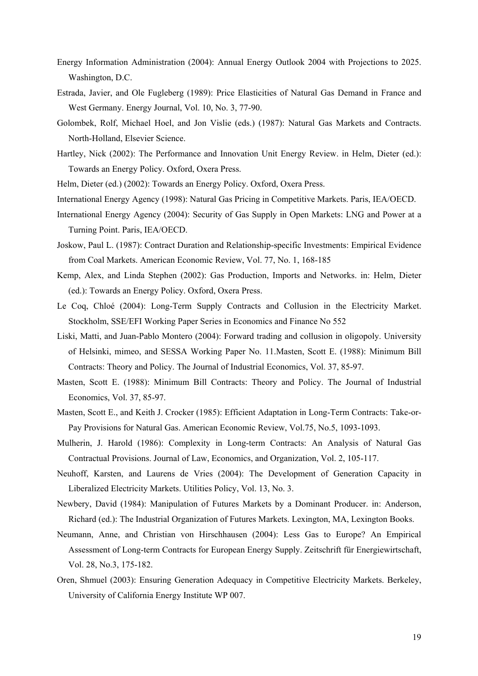- Energy Information Administration (2004): Annual Energy Outlook 2004 with Projections to 2025. Washington, D.C.
- Estrada, Javier, and Ole Fugleberg (1989): Price Elasticities of Natural Gas Demand in France and West Germany. Energy Journal, Vol. 10, No. 3, 77-90.
- Golombek, Rolf, Michael Hoel, and Jon Vislie (eds.) (1987): Natural Gas Markets and Contracts. North-Holland, Elsevier Science.
- Hartley, Nick (2002): The Performance and Innovation Unit Energy Review. in Helm, Dieter (ed.): Towards an Energy Policy. Oxford, Oxera Press.
- Helm, Dieter (ed.) (2002): Towards an Energy Policy. Oxford, Oxera Press.
- International Energy Agency (1998): Natural Gas Pricing in Competitive Markets. Paris, IEA/OECD.
- International Energy Agency (2004): Security of Gas Supply in Open Markets: LNG and Power at a Turning Point. Paris, IEA/OECD.
- Joskow, Paul L. (1987): Contract Duration and Relationship-specific Investments: Empirical Evidence from Coal Markets. American Economic Review, Vol. 77, No. 1, 168-185
- Kemp, Alex, and Linda Stephen (2002): Gas Production, Imports and Networks. in: Helm, Dieter (ed.): Towards an Energy Policy. Oxford, Oxera Press.
- Le Coq, Chloé (2004): Long-Term Supply Contracts and Collusion in the Electricity Market. Stockholm, SSE/EFI Working Paper Series in Economics and Finance No 552
- Liski, Matti, and Juan-Pablo Montero (2004): Forward trading and collusion in oligopoly. University of Helsinki, mimeo, and SESSA Working Paper No. 11.Masten, Scott E. (1988): Minimum Bill Contracts: Theory and Policy. The Journal of Industrial Economics, Vol. 37, 85-97.
- Masten, Scott E. (1988): Minimum Bill Contracts: Theory and Policy. The Journal of Industrial Economics, Vol. 37, 85-97.
- Masten, Scott E., and Keith J. Crocker (1985): Efficient Adaptation in Long-Term Contracts: Take-or-Pay Provisions for Natural Gas. American Economic Review, Vol.75, No.5, 1093-1093.
- Mulherin, J. Harold (1986): Complexity in Long-term Contracts: An Analysis of Natural Gas Contractual Provisions. Journal of Law, Economics, and Organization, Vol. 2, 105-117.
- Neuhoff, Karsten, and Laurens de Vries (2004): The Development of Generation Capacity in Liberalized Electricity Markets. Utilities Policy, Vol. 13, No. 3.
- Newbery, David (1984): Manipulation of Futures Markets by a Dominant Producer. in: Anderson, Richard (ed.): The Industrial Organization of Futures Markets. Lexington, MA, Lexington Books.
- Neumann, Anne, and Christian von Hirschhausen (2004): Less Gas to Europe? An Empirical Assessment of Long-term Contracts for European Energy Supply. Zeitschrift für Energiewirtschaft, Vol. 28, No.3, 175-182.
- Oren, Shmuel (2003): Ensuring Generation Adequacy in Competitive Electricity Markets. Berkeley, University of California Energy Institute WP 007.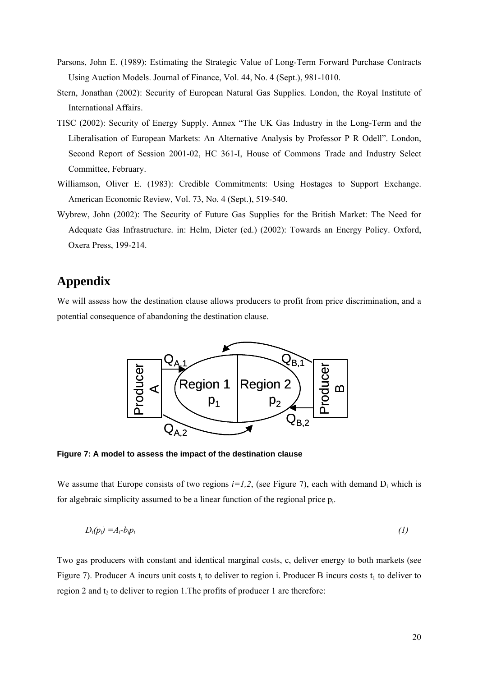- Parsons, John E. (1989): Estimating the Strategic Value of Long-Term Forward Purchase Contracts Using Auction Models. Journal of Finance, Vol. 44, No. 4 (Sept.), 981-1010.
- Stern, Jonathan (2002): Security of European Natural Gas Supplies. London, the Royal Institute of International Affairs.
- TISC (2002): Security of Energy Supply. Annex "The UK Gas Industry in the Long-Term and the Liberalisation of European Markets: An Alternative Analysis by Professor P R Odell". London, Second Report of Session 2001-02, HC 361-I, House of Commons Trade and Industry Select Committee, February.
- Williamson, Oliver E. (1983): Credible Commitments: Using Hostages to Support Exchange. American Economic Review, Vol. 73, No. 4 (Sept.), 519-540.
- Wybrew, John (2002): The Security of Future Gas Supplies for the British Market: The Need for Adequate Gas Infrastructure. in: Helm, Dieter (ed.) (2002): Towards an Energy Policy. Oxford, Oxera Press, 199-214.

## **Appendix**

We will assess how the destination clause allows producers to profit from price discrimination, and a potential consequence of abandoning the destination clause.



**Figure 7: A model to assess the impact of the destination clause** 

We assume that Europe consists of two regions  $i=1,2$ , (see Figure 7), each with demand  $D_i$  which is for algebraic simplicity assumed to be a linear function of the regional price pi.

$$
D_i(p_i) = A_i - b_i p_i \tag{1}
$$

Two gas producers with constant and identical marginal costs, c, deliver energy to both markets (see Figure 7). Producer A incurs unit costs t<sub>i</sub> to deliver to region i. Producer B incurs costs t<sub>1</sub> to deliver to region 2 and  $t_2$  to deliver to region 1. The profits of producer 1 are therefore: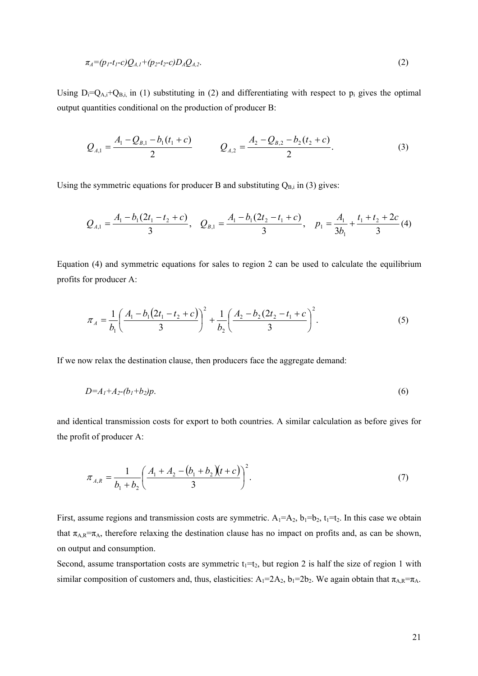$$
\pi_A = (p_1 - t_1 - c)Q_{A,1} + (p_2 - t_2 - c)D_A Q_{A,2}.\tag{2}
$$

Using  $D_i=Q_{A,i}+Q_{B,i}$ , in (1) substituting in (2) and differentiating with respect to  $p_i$  gives the optimal output quantities conditional on the production of producer B:

$$
Q_{A,1} = \frac{A_1 - Q_{B,1} - b_1(t_1 + c)}{2} \qquad Q_{A,2} = \frac{A_2 - Q_{B,2} - b_2(t_2 + c)}{2}.
$$
 (3)

Using the symmetric equations for producer B and substituting  $Q_{B,i}$  in (3) gives:

$$
Q_{A,1} = \frac{A_1 - b_1(2t_1 - t_2 + c)}{3}, \quad Q_{B,1} = \frac{A_1 - b_1(2t_2 - t_1 + c)}{3}, \quad p_1 = \frac{A_1}{3b_1} + \frac{t_1 + t_2 + 2c}{3} \tag{4}
$$

Equation (4) and symmetric equations for sales to region 2 can be used to calculate the equilibrium profits for producer A:

$$
\pi_A = \frac{1}{b_1} \left( \frac{A_1 - b_1(2t_1 - t_2 + c)}{3} \right)^2 + \frac{1}{b_2} \left( \frac{A_2 - b_2(2t_2 - t_1 + c)}{3} \right)^2.
$$
\n(5)

If we now relax the destination clause, then producers face the aggregate demand:

$$
D = A_1 + A_2 - (b_1 + b_2)p. \tag{6}
$$

and identical transmission costs for export to both countries. A similar calculation as before gives for the profit of producer A:

$$
\pi_{A,R} = \frac{1}{b_1 + b_2} \left( \frac{A_1 + A_2 - (b_1 + b_2)(t + c)}{3} \right)^2.
$$
\n(7)

First, assume regions and transmission costs are symmetric.  $A_1 = A_2$ ,  $b_1 = b_2$ ,  $t_1 = t_2$ . In this case we obtain that  $\pi_{A,R} = \pi_A$ , therefore relaxing the destination clause has no impact on profits and, as can be shown, on output and consumption.

Second, assume transportation costs are symmetric  $t_1=t_2$ , but region 2 is half the size of region 1 with similar composition of customers and, thus, elasticities:  $A_1=2A_2$ ,  $b_1=2b_2$ . We again obtain that  $\pi_{A,R}=\pi_A$ .